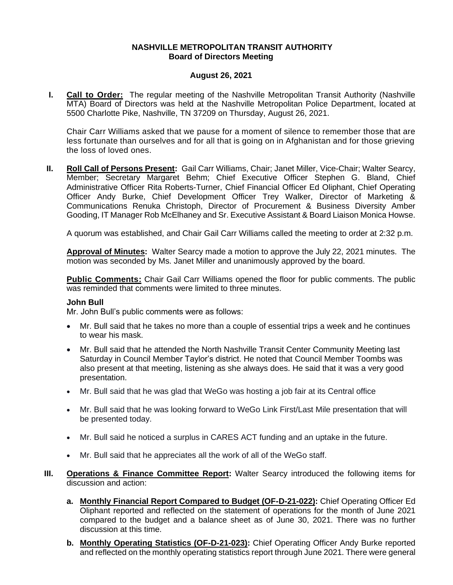### **NASHVILLE METROPOLITAN TRANSIT AUTHORITY Board of Directors Meeting**

## **August 26, 2021**

**I. Call to Order:** The regular meeting of the Nashville Metropolitan Transit Authority (Nashville MTA) Board of Directors was held at the Nashville Metropolitan Police Department, located at 5500 Charlotte Pike, Nashville, TN 37209 on Thursday, August 26, 2021.

Chair Carr Williams asked that we pause for a moment of silence to remember those that are less fortunate than ourselves and for all that is going on in Afghanistan and for those grieving the loss of loved ones.

**II. Roll Call of Persons Present:** Gail Carr Williams, Chair; Janet Miller, Vice-Chair; Walter Searcy, Member; Secretary Margaret Behm; Chief Executive Officer Stephen G. Bland, Chief Administrative Officer Rita Roberts-Turner, Chief Financial Officer Ed Oliphant, Chief Operating Officer Andy Burke, Chief Development Officer Trey Walker, Director of Marketing & Communications Renuka Christoph, Director of Procurement & Business Diversity Amber Gooding, IT Manager Rob McElhaney and Sr. Executive Assistant & Board Liaison Monica Howse.

A quorum was established, and Chair Gail Carr Williams called the meeting to order at 2:32 p.m.

**Approval of Minutes:** Walter Searcy made a motion to approve the July 22, 2021 minutes. The motion was seconded by Ms. Janet Miller and unanimously approved by the board.

**Public Comments:** Chair Gail Carr Williams opened the floor for public comments. The public was reminded that comments were limited to three minutes.

#### **John Bull**

Mr. John Bull's public comments were as follows:

- Mr. Bull said that he takes no more than a couple of essential trips a week and he continues to wear his mask.
- Mr. Bull said that he attended the North Nashville Transit Center Community Meeting last Saturday in Council Member Taylor's district. He noted that Council Member Toombs was also present at that meeting, listening as she always does. He said that it was a very good presentation.
- Mr. Bull said that he was glad that WeGo was hosting a job fair at its Central office
- Mr. Bull said that he was looking forward to WeGo Link First/Last Mile presentation that will be presented today.
- Mr. Bull said he noticed a surplus in CARES ACT funding and an uptake in the future.
- Mr. Bull said that he appreciates all the work of all of the WeGo staff.
- **III. Operations & Finance Committee Report:** Walter Searcy introduced the following items for discussion and action:
	- **a. Monthly Financial Report Compared to Budget (OF-D-21-022):** Chief Operating Officer Ed Oliphant reported and reflected on the statement of operations for the month of June 2021 compared to the budget and a balance sheet as of June 30, 2021. There was no further discussion at this time.
	- **b.** Monthly Operating Statistics (OF-D-21-023): Chief Operating Officer Andy Burke reported and reflected on the monthly operating statistics report through June 2021. There were general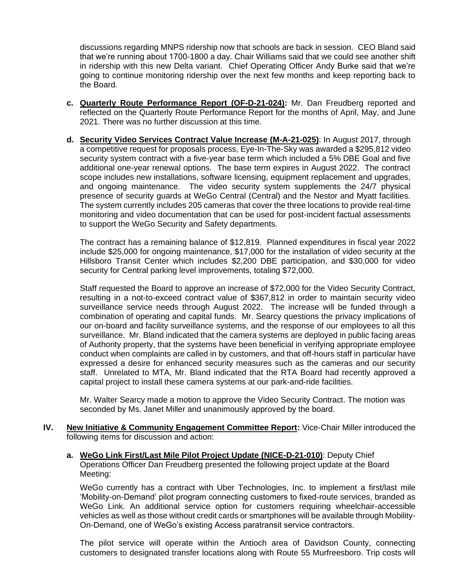discussions regarding MNPS ridership now that schools are back in session. CEO Bland said that we're running about 1700-1800 a day. Chair Williams said that we could see another shift in ridership with this new Delta variant. Chief Operating Officer Andy Burke said that we're going to continue monitoring ridership over the next few months and keep reporting back to the Board.

- **c. Quarterly Route Performance Report (OF-D-21-024):** Mr. Dan Freudberg reported and reflected on the Quarterly Route Performance Report for the months of April, May, and June 2021. There was no further discussion at this time.
- **d. Security Video Services Contract Value Increase (M-A-21-025)**: In August 2017, through a competitive request for proposals process, Eye-In-The-Sky was awarded a \$295,812 video security system contract with a five-year base term which included a 5% DBE Goal and five additional one-year renewal options. The base term expires in August 2022. The contract scope includes new installations, software licensing, equipment replacement and upgrades, and ongoing maintenance. The video security system supplements the 24/7 physical presence of security guards at WeGo Central (Central) and the Nestor and Myatt facilities. The system currently includes 205 cameras that cover the three locations to provide real-time monitoring and video documentation that can be used for post-incident factual assessments to support the WeGo Security and Safety departments.

The contract has a remaining balance of \$12,819. Planned expenditures in fiscal year 2022 include \$25,000 for ongoing maintenance, \$17,000 for the installation of video security at the Hillsboro Transit Center which includes \$2,200 DBE participation, and \$30,000 for video security for Central parking level improvements, totaling \$72,000.

Staff requested the Board to approve an increase of \$72,000 for the Video Security Contract, resulting in a not-to-exceed contract value of \$367,812 in order to maintain security video surveillance service needs through August 2022. The increase will be funded through a combination of operating and capital funds. Mr. Searcy questions the privacy implications of our on-board and facility surveillance systems, and the response of our employees to all this surveillance. Mr. Bland indicated that the camera systems are deployed in public facing areas of Authority property, that the systems have been beneficial in verifying appropriate employee conduct when complaints are called in by customers, and that off-hours staff in particular have expressed a desire for enhanced security measures such as the cameras and our security staff. Unrelated to MTA, Mr. Bland indicated that the RTA Board had recently approved a capital project to install these camera systems at our park-and-ride facilities.

Mr. Walter Searcy made a motion to approve the Video Security Contract. The motion was seconded by Ms. Janet Miller and unanimously approved by the board.

- **IV. New Initiative & Community Engagement Committee Report:** Vice-Chair Miller introduced the following items for discussion and action:
	- **a. WeGo Link First/Last Mile Pilot Project Update (NICE-D-21-010)**: Deputy Chief Operations Officer Dan Freudberg presented the following project update at the Board Meeting:

WeGo currently has a contract with Uber Technologies, Inc. to implement a first/last mile 'Mobility-on-Demand' pilot program connecting customers to fixed-route services, branded as WeGo Link. An additional service option for customers requiring wheelchair-accessible vehicles as well as those without credit cards or smartphones will be available through Mobility-On-Demand, one of WeGo's existing Access paratransit service contractors.

The pilot service will operate within the Antioch area of Davidson County, connecting customers to designated transfer locations along with Route 55 Murfreesboro. Trip costs will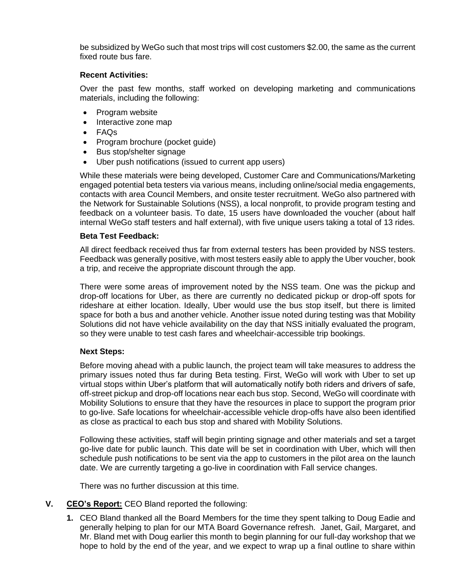be subsidized by WeGo such that most trips will cost customers \$2.00, the same as the current fixed route bus fare.

## **Recent Activities:**

Over the past few months, staff worked on developing marketing and communications materials, including the following:

- Program website
- Interactive zone map
- FAQs
- Program brochure (pocket guide)
- Bus stop/shelter signage
- Uber push notifications (issued to current app users)

While these materials were being developed, Customer Care and Communications/Marketing engaged potential beta testers via various means, including online/social media engagements, contacts with area Council Members, and onsite tester recruitment. WeGo also partnered with the Network for Sustainable Solutions (NSS), a local nonprofit, to provide program testing and feedback on a volunteer basis. To date, 15 users have downloaded the voucher (about half internal WeGo staff testers and half external), with five unique users taking a total of 13 rides.

#### **Beta Test Feedback:**

All direct feedback received thus far from external testers has been provided by NSS testers. Feedback was generally positive, with most testers easily able to apply the Uber voucher, book a trip, and receive the appropriate discount through the app.

There were some areas of improvement noted by the NSS team. One was the pickup and drop-off locations for Uber, as there are currently no dedicated pickup or drop-off spots for rideshare at either location. Ideally, Uber would use the bus stop itself, but there is limited space for both a bus and another vehicle. Another issue noted during testing was that Mobility Solutions did not have vehicle availability on the day that NSS initially evaluated the program, so they were unable to test cash fares and wheelchair-accessible trip bookings.

# **Next Steps:**

Before moving ahead with a public launch, the project team will take measures to address the primary issues noted thus far during Beta testing. First, WeGo will work with Uber to set up virtual stops within Uber's platform that will automatically notify both riders and drivers of safe, off-street pickup and drop-off locations near each bus stop. Second, WeGo will coordinate with Mobility Solutions to ensure that they have the resources in place to support the program prior to go-live. Safe locations for wheelchair-accessible vehicle drop-offs have also been identified as close as practical to each bus stop and shared with Mobility Solutions.

Following these activities, staff will begin printing signage and other materials and set a target go-live date for public launch. This date will be set in coordination with Uber, which will then schedule push notifications to be sent via the app to customers in the pilot area on the launch date. We are currently targeting a go-live in coordination with Fall service changes.

There was no further discussion at this time.

# **V. CEO's Report:** CEO Bland reported the following:

**1.** CEO Bland thanked all the Board Members for the time they spent talking to Doug Eadie and generally helping to plan for our MTA Board Governance refresh. Janet, Gail, Margaret, and Mr. Bland met with Doug earlier this month to begin planning for our full-day workshop that we hope to hold by the end of the year, and we expect to wrap up a final outline to share within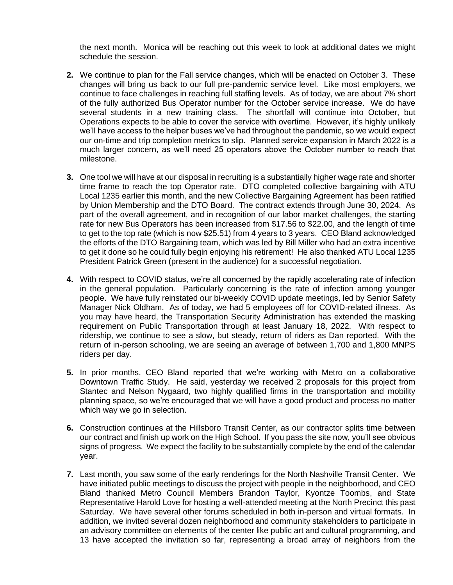the next month. Monica will be reaching out this week to look at additional dates we might schedule the session.

- **2.** We continue to plan for the Fall service changes, which will be enacted on October 3. These changes will bring us back to our full pre-pandemic service level. Like most employers, we continue to face challenges in reaching full staffing levels. As of today, we are about 7% short of the fully authorized Bus Operator number for the October service increase. We do have several students in a new training class. The shortfall will continue into October, but Operations expects to be able to cover the service with overtime. However, it's highly unlikely we'll have access to the helper buses we've had throughout the pandemic, so we would expect our on-time and trip completion metrics to slip. Planned service expansion in March 2022 is a much larger concern, as we'll need 25 operators above the October number to reach that milestone.
- **3.** One tool we will have at our disposal in recruiting is a substantially higher wage rate and shorter time frame to reach the top Operator rate. DTO completed collective bargaining with ATU Local 1235 earlier this month, and the new Collective Bargaining Agreement has been ratified by Union Membership and the DTO Board. The contract extends through June 30, 2024. As part of the overall agreement, and in recognition of our labor market challenges, the starting rate for new Bus Operators has been increased from \$17.56 to \$22.00, and the length of time to get to the top rate (which is now \$25.51) from 4 years to 3 years. CEO Bland acknowledged the efforts of the DTO Bargaining team, which was led by Bill Miller who had an extra incentive to get it done so he could fully begin enjoying his retirement! He also thanked ATU Local 1235 President Patrick Green (present in the audience) for a successful negotiation.
- **4.** With respect to COVID status, we're all concerned by the rapidly accelerating rate of infection in the general population. Particularly concerning is the rate of infection among younger people. We have fully reinstated our bi-weekly COVID update meetings, led by Senior Safety Manager Nick Oldham. As of today, we had 5 employees off for COVID-related illness. As you may have heard, the Transportation Security Administration has extended the masking requirement on Public Transportation through at least January 18, 2022. With respect to ridership, we continue to see a slow, but steady, return of riders as Dan reported. With the return of in-person schooling, we are seeing an average of between 1,700 and 1,800 MNPS riders per day.
- **5.** In prior months, CEO Bland reported that we're working with Metro on a collaborative Downtown Traffic Study. He said, yesterday we received 2 proposals for this project from Stantec and Nelson Nygaard, two highly qualified firms in the transportation and mobility planning space, so we're encouraged that we will have a good product and process no matter which way we go in selection.
- **6.** Construction continues at the Hillsboro Transit Center, as our contractor splits time between our contract and finish up work on the High School. If you pass the site now, you'll see obvious signs of progress. We expect the facility to be substantially complete by the end of the calendar year.
- **7.** Last month, you saw some of the early renderings for the North Nashville Transit Center. We have initiated public meetings to discuss the project with people in the neighborhood, and CEO Bland thanked Metro Council Members Brandon Taylor, Kyontze Toombs, and State Representative Harold Love for hosting a well-attended meeting at the North Precinct this past Saturday. We have several other forums scheduled in both in-person and virtual formats. In addition, we invited several dozen neighborhood and community stakeholders to participate in an advisory committee on elements of the center like public art and cultural programming, and 13 have accepted the invitation so far, representing a broad array of neighbors from the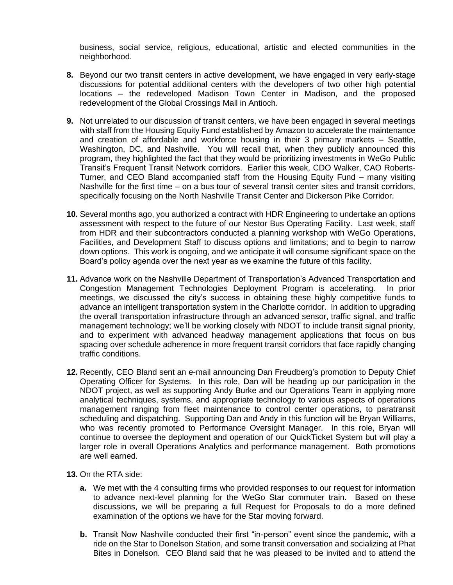business, social service, religious, educational, artistic and elected communities in the neighborhood.

- **8.** Beyond our two transit centers in active development, we have engaged in very early-stage discussions for potential additional centers with the developers of two other high potential locations – the redeveloped Madison Town Center in Madison, and the proposed redevelopment of the Global Crossings Mall in Antioch.
- **9.** Not unrelated to our discussion of transit centers, we have been engaged in several meetings with staff from the Housing Equity Fund established by Amazon to accelerate the maintenance and creation of affordable and workforce housing in their 3 primary markets – Seattle, Washington, DC, and Nashville. You will recall that, when they publicly announced this program, they highlighted the fact that they would be prioritizing investments in WeGo Public Transit's Frequent Transit Network corridors. Earlier this week, CDO Walker, CAO Roberts-Turner, and CEO Bland accompanied staff from the Housing Equity Fund – many visiting Nashville for the first time – on a bus tour of several transit center sites and transit corridors, specifically focusing on the North Nashville Transit Center and Dickerson Pike Corridor.
- **10.** Several months ago, you authorized a contract with HDR Engineering to undertake an options assessment with respect to the future of our Nestor Bus Operating Facility. Last week, staff from HDR and their subcontractors conducted a planning workshop with WeGo Operations, Facilities, and Development Staff to discuss options and limitations; and to begin to narrow down options. This work is ongoing, and we anticipate it will consume significant space on the Board's policy agenda over the next year as we examine the future of this facility.
- **11.** Advance work on the Nashville Department of Transportation's Advanced Transportation and Congestion Management Technologies Deployment Program is accelerating. In prior meetings, we discussed the city's success in obtaining these highly competitive funds to advance an intelligent transportation system in the Charlotte corridor. In addition to upgrading the overall transportation infrastructure through an advanced sensor, traffic signal, and traffic management technology; we'll be working closely with NDOT to include transit signal priority, and to experiment with advanced headway management applications that focus on bus spacing over schedule adherence in more frequent transit corridors that face rapidly changing traffic conditions.
- **12.** Recently, CEO Bland sent an e-mail announcing Dan Freudberg's promotion to Deputy Chief Operating Officer for Systems. In this role, Dan will be heading up our participation in the NDOT project, as well as supporting Andy Burke and our Operations Team in applying more analytical techniques, systems, and appropriate technology to various aspects of operations management ranging from fleet maintenance to control center operations, to paratransit scheduling and dispatching. Supporting Dan and Andy in this function will be Bryan Williams, who was recently promoted to Performance Oversight Manager. In this role, Bryan will continue to oversee the deployment and operation of our QuickTicket System but will play a larger role in overall Operations Analytics and performance management. Both promotions are well earned.
- **13.** On the RTA side:
	- **a.** We met with the 4 consulting firms who provided responses to our request for information to advance next-level planning for the WeGo Star commuter train. Based on these discussions, we will be preparing a full Request for Proposals to do a more defined examination of the options we have for the Star moving forward.
	- **b.** Transit Now Nashville conducted their first "in-person" event since the pandemic, with a ride on the Star to Donelson Station, and some transit conversation and socializing at Phat Bites in Donelson. CEO Bland said that he was pleased to be invited and to attend the